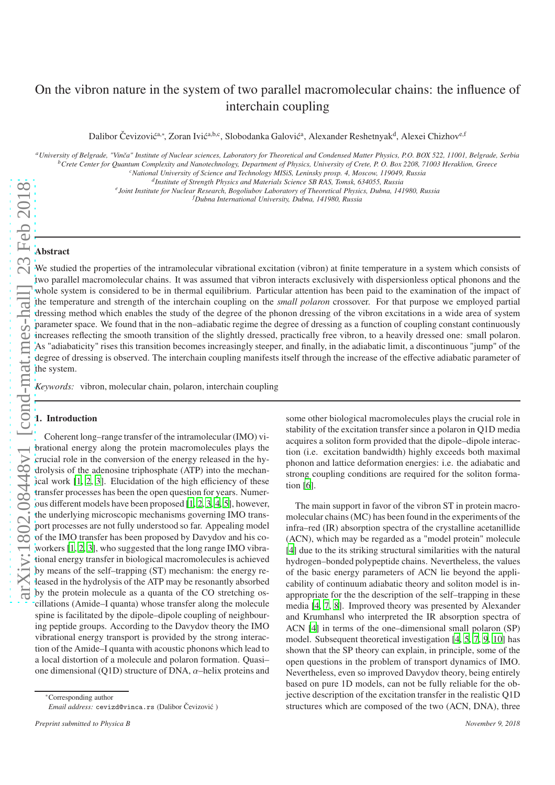# On the vibron nature in the system of two parallel macromolecular chains: the influence of interchain coupling

Dalibor Čevizović<sup>a,∗</sup>, Zoran Ivić<sup>a,b,c</sup>, Slobodanka Galović<sup>a</sup>, Alexander Reshetnyak<sup>d</sup>, Alexei Chizhov<sup>e,f</sup>

*<sup>a</sup>University of Belgrade, "Vinˇca" Institute of Nuclear sciences, Laboratory for Theoretical and Condensed Matter Physics, P.O. BOX 522, 11001, Belgrade, Serbia <sup>b</sup>Crete Center for Quantum Complexity and Nanotechnology, Department of Physics, University of Crete, P. O. Box 2208, 71003 Heraklion, Greece*

*<sup>c</sup>National University of Science and Technology MISiS, Leninsky prosp. 4, Moscow, 119049, Russia*

*d Institute of Strength Physics and Materials Science SB RAS, Tomsk, 634055, Russia*

*e Joint Institute for Nuclear Research, Bogoliubov Laboratory of Theoretical Physics, Dubna, 141980, Russia*

*<sup>f</sup>Dubna International University, Dubna, 141980, Russia*

# Abstract

arXiv:1802.08448v1 [cond-mat.mes-hall] 23 Feb 2018 [arXiv:1802.08448v1 \[cond-mat.mes-hall\] 23 Feb 2018](http://arxiv.org/abs/1802.08448v1)<br> $\sigma_{\pi\pi\sigma}$  =  $\sigma_{\pi\sigma}$  =  $\sigma_{\pi\pi}$  =  $\sigma_{\pi\pi}$  =  $\sigma_{\pi\pi}$  =  $\sigma_{\pi\pi}$  =  $\sigma_{\pi}$  =  $\sigma$ We studied the properties of the intramolecular vibrational excitation (vibron) at finite temperature in a system which consists of two parallel macromolecular chains. It was assumed that vibron interacts exclusively with dispersionless optical phonons and the whole system is considered to be in thermal equilibrium. Particular attention has been paid to the examination of the impact of the temperature and strength of the interchain coupling on the *small polaron* crossover. For that purpose we employed partial dressing method which enables the study of the degree of the phonon dressing of the vibron excitations in a wide area of system parameter space. We found that in the non–adiabatic regime the degree of dressing as a function of coupling constant continuously increases reflecting the smooth transition of the slightly dressed, practically free vibron, to a heavily dressed one: small polaron. As "adiabaticity" rises this transition becomes increasingly steeper, and finally, in the adiabatic limit, a discontinuous "jump" of the degree of dressing is observed. The interchain coupling manifests itself through the increase of the effective adiabatic parameter of the system.

*Keywords:* vibron, molecular chain, polaron, interchain coupling

# 1. Introduction

Coherent long–range transfer of the intramolecular (IMO) vibrational energy along the protein macromolecules plays the crucial role in the conversion of the energy released in the hydrolysis of the adenosine triphosphate (ATP) into the mechanical work [\[1,](#page-4-0) [2](#page-5-0), [3\]](#page-5-1). Elucidation of the high efficiency of these transfer processes has been the open question for years. Numerous different models have been proposed [\[1,](#page-4-0) [2,](#page-5-0) [3](#page-5-1), [4,](#page-5-2) [5](#page-5-3)], however, the underlying microscopic mechanisms governing IMO transport processes are not fully understood so far. Appealing model of the IMO transfer has been proposed by Davydov and his coworkers [\[1,](#page-4-0) [2,](#page-5-0) [3](#page-5-1)], who suggested that the long range IMO vibrational energy transfer in biological macromolecules is achieved by means of the self–trapping (ST) mechanism: the energy released in the hydrolysis of the ATP may be resonantly absorbed by the protein molecule as a quanta of the CO stretching oscillations (Amide–I quanta) whose transfer along the molecule spine is facilitated by the dipole–dipole coupling of neighbouring peptide groups. According to the Davydov theory the IMO vibrational energy transport is provided by the strong interaction of the Amide–I quanta with acoustic phonons which lead to a local distortion of a molecule and polaron formation. Quasi– one dimensional (Q1D) structure of DNA,  $\alpha$ -helix proteins and

some other biological macromolecules plays the crucial role in stability of the excitation transfer since a polaron in Q1D media acquires a soliton form provided that the dipole–dipole interaction (i.e. excitation bandwidth) highly exceeds both maximal phonon and lattice deformation energies: i.e. the adiabatic and strong coupling conditions are required for the soliton formation [\[6\]](#page-5-4).

The main support in favor of the vibron ST in protein macromolecular chains (MC) has been found in the experiments of the infra–red (IR) absorption spectra of the crystalline acetanillide (ACN), which may be regarded as a "model protein" molecule [\[4\]](#page-5-2) due to the its striking structural similarities with the natural hydrogen–bonded polypeptide chains. Nevertheless, the values of the basic energy parameters of ACN lie beyond the applicability of continuum adiabatic theory and soliton model is inappropriate for the the description of the self–trapping in these media [\[4](#page-5-2), [7,](#page-5-5) [8](#page-5-6)]. Improved theory was presented by Alexander and Krumhansl who interpreted the IR absorption spectra of ACN [\[4\]](#page-5-2) in terms of the one–dimensional small polaron (SP) model. Subsequent theoretical investigation [\[4,](#page-5-2) [5,](#page-5-3) [7](#page-5-5), [9](#page-5-7), [10\]](#page-5-8) has shown that the SP theory can explain, in principle, some of the open questions in the problem of transport dynamics of IMO. Nevertheless, even so improved Davydov theory, being entirely based on pure 1D models, can not be fully reliable for the objective description of the excitation transfer in the realistic Q1D structures which are composed of the two (ACN, DNA), three

<sup>∗</sup>Corresponding author *Email address:* cevizd@vinca.rs (Dalibor Čevizović)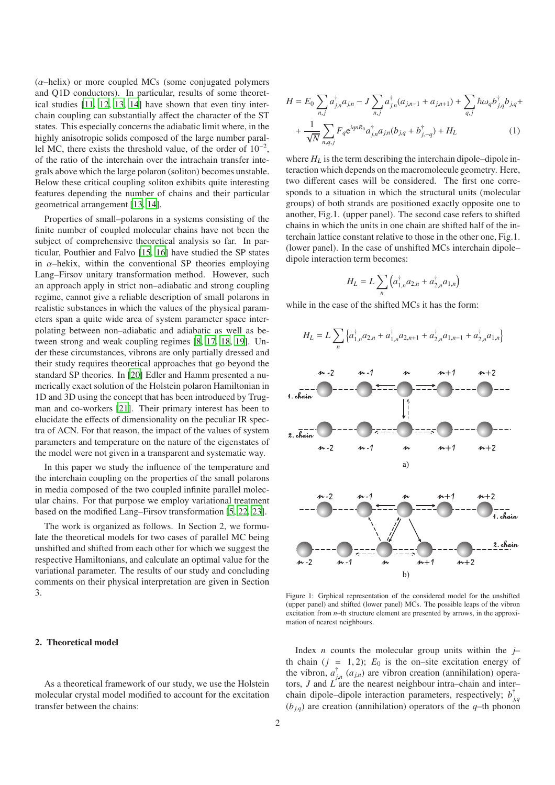$(\alpha$ -helix) or more coupled MCs (some conjugated polymers and Q1D conductors). In particular, results of some theoretical studies [\[11,](#page-5-9) [12,](#page-5-10) [13,](#page-5-11) [14\]](#page-5-12) have shown that even tiny interchain coupling can substantially affect the character of the ST states. This especially concerns the adiabatic limit where, in the highly anisotropic solids composed of the large number parallel MC, there exists the threshold value, of the order of  $10^{-2}$ , of the ratio of the interchain over the intrachain transfer integrals above which the large polaron (soliton) becomes unstable. Below these critical coupling soliton exhibits quite interesting features depending the number of chains and their particular geometrical arrangement [\[13,](#page-5-11) [14\]](#page-5-12).

Properties of small–polarons in a systems consisting of the finite number of coupled molecular chains have not been the subject of comprehensive theoretical analysis so far. In particular, Pouthier and Falvo [\[15,](#page-5-13) [16](#page-5-14)] have studied the SP states in  $\alpha$ –hekix, within the conventional SP theories employing Lang–Firsov unitary transformation method. However, such an approach apply in strict non–adiabatic and strong coupling regime, cannot give a reliable description of small polarons in realistic substances in which the values of the physical parameters span a quite wide area of system parameter space interpolating between non–adiabatic and adiabatic as well as between strong and weak coupling regimes [\[8](#page-5-6), [17,](#page-5-15) [18,](#page-5-16) [19](#page-5-17)]. Under these circumstances, vibrons are only partially dressed and their study requires theoretical approaches that go beyond the standard SP theories. In [\[20\]](#page-5-18) Edler and Hamm presented a numerically exact solution of the Holstein polaron Hamiltonian in 1D and 3D using the concept that has been introduced by Trugman and co-workers [\[21\]](#page-5-19). Their primary interest has been to elucidate the effects of dimensionality on the peculiar IR spectra of ACN. For that reason, the impact of the values of system parameters and temperature on the nature of the eigenstates of the model were not given in a transparent and systematic way.

In this paper we study the influence of the temperature and the interchain coupling on the properties of the small polarons in media composed of the two coupled infinite parallel molecular chains. For that purpose we employ variational treatment based on the modified Lang–Firsov transformation [\[5,](#page-5-3) [22,](#page-5-20) [23\]](#page-5-21).

The work is organized as follows. In Section 2, we formulate the theoretical models for two cases of parallel MC being unshifted and shifted from each other for which we suggest the respective Hamiltonians, and calculate an optimal value for the variational parameter. The results of our study and concluding comments on their physical interpretation are given in Section 3.

#### 2. Theoretical model

As a theoretical framework of our study, we use the Holstein molecular crystal model modified to account for the excitation transfer between the chains:

$$
H = E_0 \sum_{n,j} a_{j,n}^{\dagger} a_{j,n} - J \sum_{n,j} a_{j,n}^{\dagger} (a_{j,n-1} + a_{j,n+1}) + \sum_{q,j} \hbar \omega_q b_{j,q}^{\dagger} b_{j,q} +
$$
  
+ 
$$
\frac{1}{\sqrt{N}} \sum_{n,q,j} F_q e^{iqnR_0} a_{j,n}^{\dagger} a_{j,n} (b_{j,q} + b_{j,-q}^{\dagger}) + H_L
$$
 (1)

where  $H_L$  is the term describing the interchain dipole–dipole interaction which depends on the macromolecule geometry. Here, two different cases will be considered. The first one corresponds to a situation in which the structural units (molecular groups) of both strands are positioned exactly opposite one to another, Fig.1. (upper panel). The second case refers to shifted chains in which the units in one chain are shifted half of the interchain lattice constant relative to those in the other one, Fig.1. (lower panel). In the case of unshifted MCs interchain dipole– dipole interaction term becomes:

$$
H_L = L \sum_{n} \left( a_{1,n}^{\dagger} a_{2,n} + a_{2,n}^{\dagger} a_{1,n} \right)
$$

while in the case of the shifted MCs it has the form:

$$
H_L = L \sum_{n} \left\{ a_{1,n}^{\dagger} a_{2,n} + a_{1,n}^{\dagger} a_{2,n+1} + a_{2,n}^{\dagger} a_{1,n-1} + a_{2,n}^{\dagger} a_{1,n} \right\}
$$



Figure 1: Grphical representation of the considered model for the unshifted (upper panel) and shifted (lower panel) MCs. The possible leaps of the vibron excitation from *n*–th structure element are presented by arrows, in the approximation of nearest neighbours.

Index *n* counts the molecular group units within the  $j$ th chain  $(j = 1, 2)$ ;  $E_0$  is the on–site excitation energy of the vibron,  $a_{j,n}^{\dagger}(a_{j,n})$  are vibron creation (annihilation) operators, *J* and *L* are the nearest neighbour intra–chain and inter– chain dipole–dipole interaction parameters, respectively; *b* † *j*,*q*  $(b_{j,q})$  are creation (annihilation) operators of the *q*-th phonon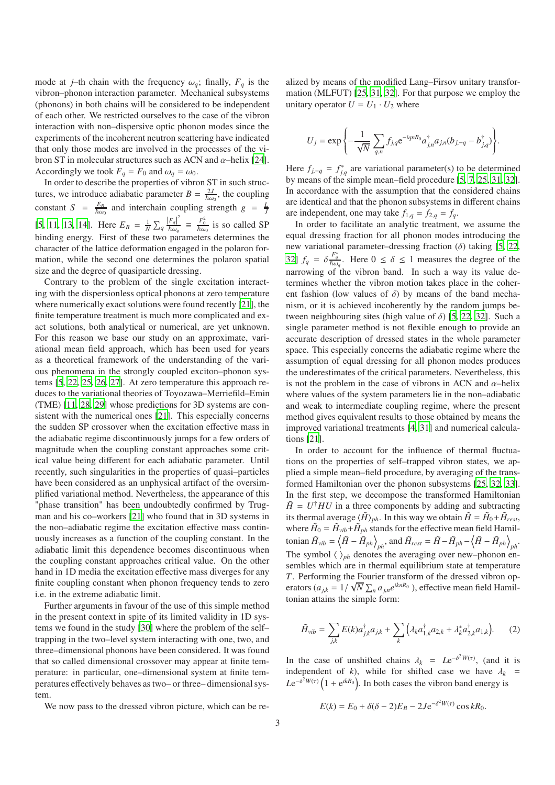mode at *j*-th chain with the frequency  $\omega_q$ ; finally,  $F_q$  is the vibron–phonon interaction parameter. Mechanical subsystems (phonons) in both chains will be considered to be independent of each other. We restricted ourselves to the case of the vibron interaction with non–dispersive optic phonon modes since the experiments of the incoherent neutron scattering have indicated that only those modes are involved in the processes of the vibron ST in molecular structures such as ACN and  $\alpha$ -helix [\[24\]](#page-5-22). Accordingly we took  $F_q = F_0$  and  $\omega_q = \omega_0$ .

In order to describe the properties of vibron ST in such structures, we introduce adiabatic parameter  $B = \frac{2J}{\hbar \omega_0}$ , the coupling constant *S* =  $\frac{E_B}{\hbar \omega_0}$  and interchain coupling strength  $g = \frac{L}{J}$ [\[5,](#page-5-3) [11,](#page-5-9) [13,](#page-5-11) [14\]](#page-5-12). Here  $E_B = \frac{1}{N} \sum_q \frac{|F_q|^2}{\hbar \omega_q}$  $\frac{|F_q|^2}{\hbar \omega_q} \equiv \frac{F_0^2}{\hbar \omega_0}$  is so called SP binding energy. First of these two parameters determines the character of the lattice deformation engaged in the polaron formation, while the second one determines the polaron spatial size and the degree of quasiparticle dressing.

Contrary to the problem of the single excitation interacting with the dispersionless optical phonons at zero temperature where numerically exact solutions were found recently [\[21\]](#page-5-19), the finite temperature treatment is much more complicated and exact solutions, both analytical or numerical, are yet unknown. For this reason we base our study on an approximate, variational mean field approach, which has been used for years as a theoretical framework of the understanding of the various phenomena in the strongly coupled exciton–phonon systems [\[5,](#page-5-3) [22,](#page-5-20) [25,](#page-5-23) [26](#page-5-24), [27\]](#page-5-25). At zero temperature this approach reduces to the variational theories of Toyozawa–Merriefild–Emin (TME) [\[11](#page-5-9), [28](#page-5-26), [29\]](#page-5-27) whose predictions for 3D systems are consistent with the numerical ones [\[21\]](#page-5-19). This especially concerns the sudden SP crossover when the excitation effective mass in the adiabatic regime discontinuously jumps for a few orders of magnitude when the coupling constant approaches some critical value being different for each adiabatic parameter. Until recently, such singularities in the properties of quasi–particles have been considered as an unphysical artifact of the oversimplified variational method. Nevertheless, the appearance of this "phase transition" has been undoubtedly confirmed by Trugman and his co–workers [\[21\]](#page-5-19) who found that in 3D systems in the non–adiabatic regime the excitation effective mass continuously increases as a function of the coupling constant. In the adiabatic limit this dependence becomes discontinuous when the coupling constant approaches critical value. On the other hand in 1D media the excitation effective mass diverges for any finite coupling constant when phonon frequency tends to zero i.e. in the extreme adiabatic limit.

Further arguments in favour of the use of this simple method in the present context in spite of its limited validity in 1D systems we found in the study [\[30\]](#page-5-28) where the problem of the self– trapping in the two–level system interacting with one, two, and three–dimensional phonons have been considered. It was found that so called dimensional crossover may appear at finite temperature: in particular, one–dimensional system at finite temperatures effectively behaves as two– or three– dimensional system.

We now pass to the dressed vibron picture, which can be re-

alized by means of the modified Lang–Firsov unitary transformation (MLFUT) [\[25,](#page-5-23) [31,](#page-5-29) [32\]](#page-5-30). For that purpose we employ the unitary operator  $U = U_1 \cdot U_2$  where

$$
U_j = \exp\left\{-\frac{1}{\sqrt{N}}\sum_{q,n}f_{j,q}e^{-iqnR_0}a_{j,n}^\dagger a_{j,n}(b_{j,-q}-b_{j,q}^\dagger)\right\}.
$$

Here  $f_{j,-q} = f_{j,q}^*$  are variational parameter(s) to be determined by means of the simple mean–field procedure  $[5, 7, 25, 31, 32]$  $[5, 7, 25, 31, 32]$  $[5, 7, 25, 31, 32]$  $[5, 7, 25, 31, 32]$  $[5, 7, 25, 31, 32]$  $[5, 7, 25, 31, 32]$  $[5, 7, 25, 31, 32]$ . In accordance with the assumption that the considered chains are identical and that the phonon subsystems in different chains are independent, one may take  $f_{1,q} = f_{2,q} = f_q$ .

In order to facilitate an analytic treatment, we assume the equal dressing fraction for all phonon modes introducing the new variational parameter-dressing fraction ( $\delta$ ) taking [\[5](#page-5-3), [22](#page-5-20), [32\]](#page-5-30)  $f_q = \delta \frac{F_q^*}{\hbar \omega_q}$ . Here  $0 \le \delta \le 1$  measures the degree of the narrowing of the vibron band. In such a way its value determines whether the vibron motion takes place in the coherent fashion (low values of  $\delta$ ) by means of the band mechanism, or it is achieved incoherently by the random jumps between neighbouring sites (high value of  $\delta$ ) [\[5,](#page-5-3) [22,](#page-5-20) [32\]](#page-5-30). Such a single parameter method is not flexible enough to provide an accurate description of dressed states in the whole parameter space. This especially concerns the adiabatic regime where the assumption of equal dressing for all phonon modes produces the underestimates of the critical parameters. Nevertheless, this is not the problem in the case of vibrons in ACN and  $\alpha$ –helix where values of the system parameters lie in the non–adiabatic and weak to intermediate coupling regime, where the present method gives equivalent results to those obtained by means the improved variational treatments [\[4,](#page-5-2) [31](#page-5-29)] and numerical calculations [\[21\]](#page-5-19).

In order to account for the influence of thermal fluctuations on the properties of self–trapped vibron states, we applied a simple mean–field procedure, by averaging of the transformed Hamiltonian over the phonon subsystems [\[25](#page-5-23), [32,](#page-5-30) [33\]](#page-5-31). In the first step, we decompose the transformed Hamiltonian  $\tilde{H} = U^{\dagger} H U$  in a three components by adding and subtracting its thermal average  $\langle \tilde{H} \rangle_{ph}$ . In this way we obtain  $\tilde{H} = \tilde{H}_0 + \tilde{H}_{rest}$ , where  $\tilde{H}_0 = \tilde{H}_{vib} + \tilde{H}_{ph}$  stands for the effective mean field Hamil- $\text{t}$ onian  $\tilde{H}_{vib} = \left\langle \tilde{H} - \tilde{H}_{ph} \right\rangle_{ph},$  and  $\tilde{H}_{rest} = \tilde{H} - \tilde{H}_{ph} - \left\langle \tilde{H} - \tilde{H}_{ph} \right\rangle_{ph}.$ The symbol  $\langle \ \rangle_{ph}$  denotes the averaging over new–phonon ensembles which are in thermal equilibrium state at temperature *T*. Performing the Fourier transform of the dressed vibron operators  $(a_{j,k} = 1/\sqrt{N} \sum_n a_{j,n} e^{i k n R_0}$ , effective mean field Hamiltonian attains the simple form:

<span id="page-2-0"></span>
$$
\tilde{H}_{vib} = \sum_{j,k} E(k) a_{j,k}^{\dagger} a_{j,k} + \sum_{k} \left( \lambda_k a_{1,k}^{\dagger} a_{2,k} + \lambda_k^* a_{2,k}^{\dagger} a_{1,k} \right). \tag{2}
$$

In the case of unshifted chains  $\lambda_k = Le^{-\delta^2 W(\tau)}$ , (and it is independent of *k*), while for shifted case we have  $\lambda_k$  $Le^{-\delta^2 W(\tau)}\left(1 + e^{ikR_0}\right)$ . In both cases the vibron band energy is

$$
E(k) = E_0 + \delta(\delta - 2)E_B - 2J e^{-\delta^2 W(\tau)} \cos kR_0.
$$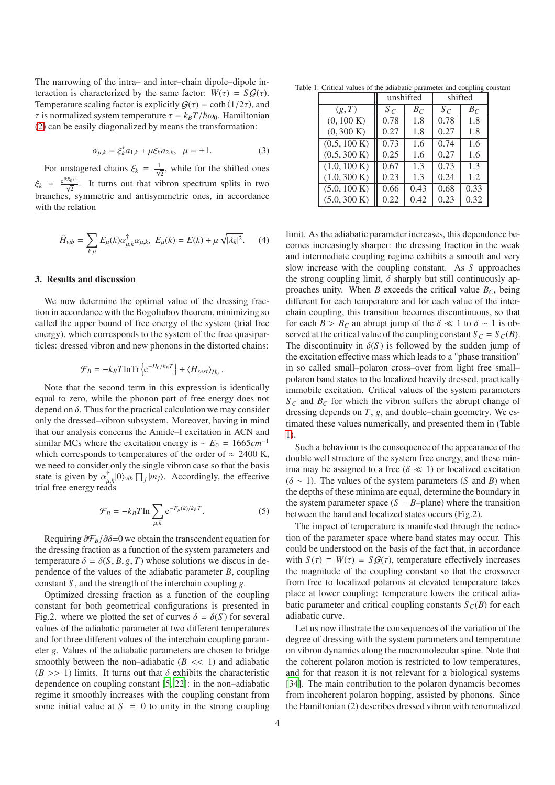The narrowing of the intra– and inter–chain dipole–dipole interaction is characterized by the same factor:  $W(\tau) = S \mathcal{G}(\tau)$ . Temperature scaling factor is explicitly  $G(\tau) = \coth(1/2\tau)$ , and τ is normalized system temperature  $τ = k_B T / \hbar \omega_0$ . Hamiltonian [\(2\)](#page-2-0) can be easily diagonalized by means the transformation:

$$
\alpha_{\mu,k} = \xi_k^* a_{1,k} + \mu \xi_k a_{2,k}, \ \mu = \pm 1. \tag{3}
$$

For unstagered chains  $\xi_k = \frac{1}{\sqrt{2}}$ , while for the shifted ones  $\xi_k = \frac{e^{ikR_0/4}}{\sqrt{2}}$ . It turns out that vibron spectrum splits in two branches, symmetric and antisymmetric ones, in accordance with the relation

$$
\tilde{H}_{vib} = \sum_{k,\mu} E_{\mu}(k) \alpha_{\mu,k}^{\dagger} \alpha_{\mu,k}, \ E_{\mu}(k) = E(k) + \mu \sqrt{|\lambda_k|^2}.
$$
 (4)

## 3. Results and discussion

We now determine the optimal value of the dressing fraction in accordance with the Bogoliubov theorem, minimizing so called the upper bound of free energy of the system (trial free energy), which corresponds to the system of the free quasiparticles: dressed vibron and new phonons in the distorted chains:

$$
\mathcal{F}_B = -k_B T \ln \text{Tr} \left\{ e^{-H_0/k_B T} \right\} + \langle H_{rest} \rangle_{H_0} \,.
$$

Note that the second term in this expression is identically equal to zero, while the phonon part of free energy does not depend on  $\delta$ . Thus for the practical calculation we may consider only the dressed–vibron subsystem. Moreover, having in mind that our analysis concerns the Amide–I excitation in ACN and similar MCs where the excitation energy is  $\sim E_0 = 1665 \text{cm}^{-1}$ which corresponds to temperatures of the order of  $\approx 2400$  K, we need to consider only the single vibron case so that the basis state is given by  $\alpha_{\mu,k}^{\dagger} |0\rangle_{vib} \prod_j |m_j\rangle$ . Accordingly, the effective trial free energy reads

$$
\mathcal{F}_B = -k_B T \ln \sum_{\mu, k} e^{-E_\mu(k)/k_B T}.
$$
 (5)

Requiring  $\frac{\partial \mathcal{F}_B}{\partial \delta}$ =0 we obtain the transcendent equation for the dressing fraction as a function of the system parameters and temperature  $\delta = \delta(S, B, g, T)$  whose solutions we discus in dependence of the values of the adiabatic parameter *B*, coupling constant *S* , and the strength of the interchain coupling *g*.

Optimized dressing fraction as a function of the coupling constant for both geometrical configurations is presented in Fig.2. where we plotted the set of curves  $\delta = \delta(S)$  for several values of the adiabatic parameter at two different temperatures and for three different values of the interchain coupling parameter *g*. Values of the adiabatic parameters are chosen to bridge smoothly between the non–adiabatic  $(B \lt \lt 1)$  and adiabatic  $(B \gg 1)$  limits. It turns out that  $\delta$  exhibits the characteristic dependence on coupling constant [\[5](#page-5-3), [22\]](#page-5-20): in the non–adiabatic regime it smoothly increases with the coupling constant from some initial value at  $S = 0$  to unity in the strong coupling

Table 1: Critical values of the adiabatic parameter and coupling constant

<span id="page-3-0"></span>

|              | unshifted |       | shifted |       |
|--------------|-----------|-------|---------|-------|
| (g, T)       | $S_C$     | $B_C$ | $S_C$   | $B_C$ |
| (0, 100 K)   | 0.78      | 1.8   | 0.78    | 1.8   |
| (0, 300 K)   | 0.27      | 1.8   | 0.27    | 1.8   |
| (0.5, 100 K) | 0.73      | 1.6   | 0.74    | 1.6   |
| (0.5, 300 K) | 0.25      | 1.6   | 0.27    | 1.6   |
| (1.0, 100 K) | 0.67      | 1.3   | 0.73    | 1.3   |
| (1.0, 300 K) | 0.23      | 1.3   | 0.24    | 1.2   |
| (5.0, 100 K) | 0.66      | 0.43  | 0.68    | 0.33  |
| (5.0, 300 K) | 0.22      | 0.42  | 0.23    | 0.32  |

limit. As the adiabatic parameter increases, this dependence becomes increasingly sharper: the dressing fraction in the weak and intermediate coupling regime exhibits a smooth and very slow increase with the coupling constant. As *S* approaches the strong coupling limit,  $\delta$  sharply but still continuously approaches unity. When *B* exceeds the critical value  $B_C$ , being different for each temperature and for each value of the interchain coupling, this transition becomes discontinuous, so that for each *B* > *B<sub>C</sub>* an abrupt jump of the  $\delta \ll 1$  to  $\delta \sim 1$  is observed at the critical value of the coupling constant  $S_C = S_C(B)$ . The discontinuity in  $\delta(S)$  is followed by the sudden jump of the excitation effective mass which leads to a "phase transition" in so called small–polaron cross–over from light free small– polaron band states to the localized heavily dressed, practically immobile excitation. Critical values of the system parameters  $S_C$  and  $B_C$  for which the vibron suffers the abrupt change of dressing depends on *T*, *g*, and double–chain geometry. We estimated these values numerically, and presented them in (Table [1\)](#page-3-0).

Such a behaviour is the consequence of the appearance of the double well structure of the system free energy, and these minima may be assigned to a free ( $\delta \ll 1$ ) or localized excitation  $(δ ~ 1)$ . The values of the system parameters (S and B) when the depths of these minima are equal, determine the boundary in the system parameter space  $(S - B$ –plane) where the transition between the band and localized states occurs (Fig.2).

The impact of temperature is manifested through the reduction of the parameter space where band states may occur. This could be understood on the basis of the fact that, in accordance with  $S(\tau) \equiv W(\tau) = S \mathcal{G}(\tau)$ , temperature effectively increases the magnitude of the coupling constant so that the crossover from free to localized polarons at elevated temperature takes place at lower coupling: temperature lowers the critical adiabatic parameter and critical coupling constants  $S_C(B)$  for each adiabatic curve.

Let us now illustrate the consequences of the variation of the degree of dressing with the system parameters and temperature on vibron dynamics along the macromolecular spine. Note that the coherent polaron motion is restricted to low temperatures, and for that reason it is not relevant for a biological systems [\[34\]](#page-5-32). The main contribution to the polaron dynamcis becomes from incoherent polaron hopping, assisted by phonons. Since the Hamiltonian (2) describes dressed vibron with renormalized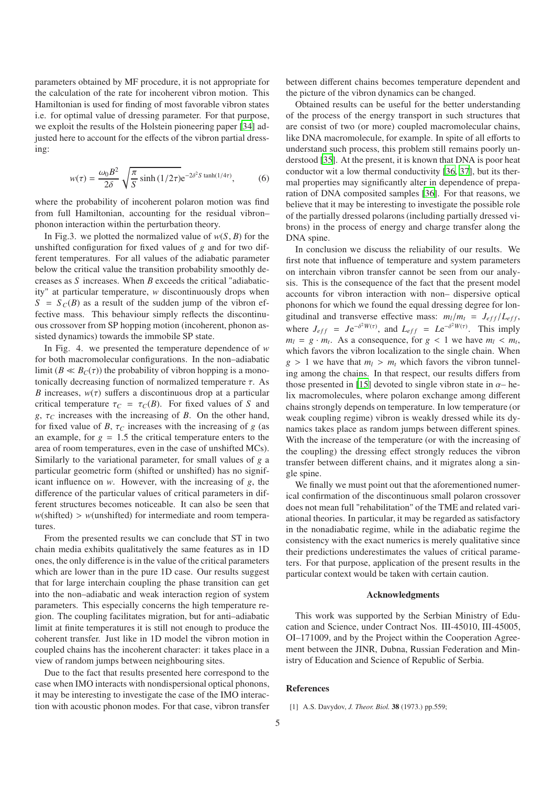parameters obtained by MF procedure, it is not appropriate for the calculation of the rate for incoherent vibron motion. This Hamiltonian is used for finding of most favorable vibron states i.e. for optimal value of dressing parameter. For that purpose, we exploit the results of the Holstein pioneering paper [\[34](#page-5-32)] adjusted here to account for the effects of the vibron partial dressing:

$$
w(\tau) = \frac{\omega_0 B^2}{2\delta} \sqrt{\frac{\pi}{S}} \sinh(1/2\tau) e^{-2\delta^2 S \tanh(1/4\tau)},
$$
 (6)

where the probability of incoherent polaron motion was find from full Hamiltonian, accounting for the residual vibron– phonon interaction within the perturbation theory.

In Fig.3. we plotted the normalized value of  $w(S, B)$  for the unshifted configuration for fixed values of *g* and for two different temperatures. For all values of the adiabatic parameter below the critical value the transition probability smoothly decreases as *S* increases. When *B* exceeds the critical "adiabaticity" at particular temperature, *w* discontinuously drops when  $S = S_C(B)$  as a result of the sudden jump of the vibron effective mass. This behaviour simply reflects the discontinuous crossover from SP hopping motion (incoherent, phonon assisted dynamics) towards the immobile SP state.

In Fig. 4. we presented the temperature dependence of *w* for both macromolecular configurations. In the non–adiabatic limit ( $B \ll B_C(\tau)$ ) the probability of vibron hopping is a monotonically decreasing function of normalized temperature  $\tau$ . As *B* increases,  $w(\tau)$  suffers a discontinuous drop at a particular critical temperature  $\tau_C = \tau_C(B)$ . For fixed values of *S* and *g*,  $\tau_c$  increases with the increasing of *B*. On the other hand, for fixed value of *B*,  $\tau_C$  increases with the increasing of *g* (as an example, for  $g = 1.5$  the critical temperature enters to the area of room temperatures, even in the case of unshifted MCs). Similarly to the variational parameter, for small values of *g* a particular geometric form (shifted or unshifted) has no significant influence on *w*. However, with the increasing of *g*, the difference of the particular values of critical parameters in different structures becomes noticeable. It can also be seen that  $w(\text{shifted}) > w(\text{unshifted})$  for intermediate and room temperatures.

From the presented results we can conclude that ST in two chain media exhibits qualitatively the same features as in 1D ones, the only difference is in the value of the critical parameters which are lower than in the pure 1D case. Our results suggest that for large interchain coupling the phase transition can get into the non–adiabatic and weak interaction region of system parameters. This especially concerns the high temperature region. The coupling facilitates migration, but for anti–adiabatic limit at finite temperatures it is still not enough to produce the coherent transfer. Just like in 1D model the vibron motion in coupled chains has the incoherent character: it takes place in a view of random jumps between neighbouring sites.

Due to the fact that results presented here correspond to the case when IMO interacts with nondispersional optical phonons, it may be interesting to investigate the case of the IMO interaction with acoustic phonon modes. For that case, vibron transfer

between different chains becomes temperature dependent and the picture of the vibron dynamics can be changed.

Obtained results can be useful for the better understanding of the process of the energy transport in such structures that are consist of two (or more) coupled macromolecular chains, like DNA macromolecule, for example. In spite of all efforts to understand such process, this problem still remains poorly understood [\[35\]](#page-5-33). At the present, it is known that DNA is poor heat conductor wit a low thermal conductivity [\[36,](#page-5-34) [37](#page-5-35)], but its thermal properties may significantly alter in dependence of preparation of DNA composited samples [\[36\]](#page-5-34). For that reasons, we believe that it may be interesting to investigate the possible role of the partially dressed polarons (including partially dressed vibrons) in the process of energy and charge transfer along the DNA spine.

In conclusion we discuss the reliability of our results. We first note that influence of temperature and system parameters on interchain vibron transfer cannot be seen from our analysis. This is the consequence of the fact that the present model accounts for vibron interaction with non– dispersive optical phonons for which we found the equal dressing degree for longitudinal and transverse effective mass:  $m_l/m_t = J_{eff}/L_{eff}$ , where  $J_{eff} = J e^{-\delta^2 W(\tau)}$ , and  $L_{eff} = L e^{-\delta^2 W(\tau)}$ . This imply  $m_l = g \cdot m_l$ . As a consequence, for  $g < 1$  we have  $m_l < m_t$ , which favors the vibron localization to the single chain. When  $g > 1$  we have that  $m_l > m_t$  which favors the vibron tunneling among the chains. In that respect, our results differs from those presented in [\[15\]](#page-5-13) devoted to single vibron state in  $\alpha$ – helix macromolecules, where polaron exchange among different chains strongly depends on temperature. In low temperature (or weak coupling regime) vibron is weakly dressed while its dynamics takes place as random jumps between different spines. With the increase of the temperature (or with the increasing of the coupling) the dressing effect strongly reduces the vibron transfer between different chains, and it migrates along a single spine.

We finally we must point out that the aforementioned numerical confirmation of the discontinuous small polaron crossover does not mean full "rehabilitation" of the TME and related variational theories. In particular, it may be regarded as satisfactory in the nonadiabatic regime, while in the adiabatic regime the consistency with the exact numerics is merely qualitative since their predictions underestimates the values of critical parameters. For that purpose, application of the present results in the particular context would be taken with certain caution.

## Acknowledgments

This work was supported by the Serbian Ministry of Education and Science, under Contract Nos. III-45010, III-45005, OI–171009, and by the Project within the Cooperation Agreement between the JINR, Dubna, Russian Federation and Ministry of Education and Science of Republic of Serbia.

# References

<span id="page-4-0"></span><sup>[1]</sup> A.S. Davydov, *J. Theor. Biol.* 38 (1973.) pp.559;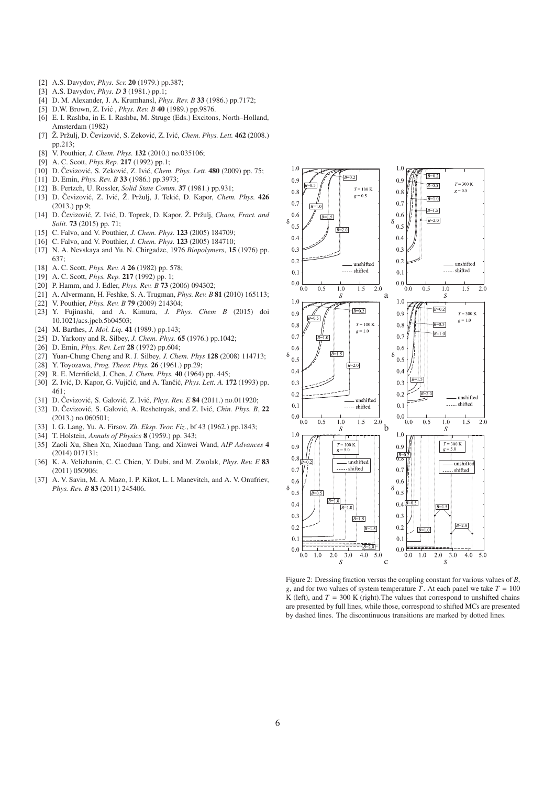- <span id="page-5-0"></span>[2] A.S. Davydov, *Phys. Scr.* 20 (1979.) pp.387;
- <span id="page-5-1"></span>[3] A.S. Davydov, *Phys. D* 3 (1981.) pp.1;
- <span id="page-5-2"></span>[4] D. M. Alexander, J. A. Krumhansl, *Phys. Rev. B* 33 (1986.) pp.7172;
- <span id="page-5-3"></span>[5] D.W. Brown, Z. Ivić, *Phys. Rev. B* 40 (1989.) pp.9876.
- <span id="page-5-4"></span>[6] E. I. Rashba, in E. I. Rashba, M. Struge (Eds.) Excitons, North–Holland, Amsterdam (1982)
- <span id="page-5-5"></span>[7] Ž. Pržulj, D. Čevizović, S. Zeković, Z. Ivić, *Chem. Phys. Lett.* 462 (2008.) pp.213;
- <span id="page-5-6"></span>[8] V. Pouthier, *J. Chem. Phys.* 132 (2010.) no.035106;
- <span id="page-5-7"></span>[9] A. C. Scott, *Phys.Rep.* 217 (1992) pp.1;
- <span id="page-5-8"></span>[10] D. Čevizović, S. Zeković, Z. Ivić, *Chem. Phys. Lett.* **480** (2009) pp. 75;
- <span id="page-5-9"></span>[11] D. Emin, *Phys. Rev. B* 33 (1986.) pp.3973;
- <span id="page-5-10"></span>[12] B. Pertzch, U. Rossler, *Solid State Comm.* 37 (1981.) pp.931;
- <span id="page-5-11"></span>[13] D. Čevizović, Z. Ivić, Ž. Pržulj, J. Tekić, D. Kapor, *Chem. Phys.* 426 (2013.) pp.9;
- <span id="page-5-12"></span>[14] D. Čevizović, Z. Ivić, D. Toprek, D. Kapor, Ž. Pržulj, *Chaos, Fract. and Solit.* 73 (2015) pp. 71;
- <span id="page-5-13"></span>[15] C. Falvo, and V. Pouthier, *J. Chem. Phys.* 123 (2005) 184709;
- <span id="page-5-14"></span>[16] C. Falvo, and V. Pouthier, *J. Chem. Phys.* 123 (2005) 184710;
- <span id="page-5-15"></span>[17] N. A. Nevskaya and Yu. N. Chirgadze, 1976 *Biopolymers*, 15 (1976) pp. 637;
- <span id="page-5-17"></span>
- <span id="page-5-16"></span>[18] A. C. Scott, *Phys. Rev. A* 26 (1982) pp. 578; [19] A. C. Scott, *Phys. Rep.* 217 (1992) pp. 1;
- <span id="page-5-18"></span>[20] P. Hamm, and J. Edler, *Phys. Rev. B* 73 (2006) 094302;
- <span id="page-5-19"></span>[21] A. Alvermann, H. Feshke, S. A. Trugman, *Phys. Rev. B* 81 (2010) 165113;
- <span id="page-5-20"></span>[22] V. Pouthier, *Phys. Rev. B* 79 (2009) 214304;
- <span id="page-5-21"></span>[23] Y. Fujinashi, and A. Kimura, *J. Phys. Chem B* (2015) doi 10.1021/acs.jpcb.5b04503;
- <span id="page-5-22"></span>[24] M. Barthes, *J. Mol. Liq.* 41 (1989.) pp.143;
- <span id="page-5-23"></span>[25] D. Yarkony and R. Silbey, *J. Chem. Phys.* 65 (1976.) pp.1042;
- <span id="page-5-24"></span>[26] D. Emin, *Phys. Rev. Lett* 28 (1972) pp.604;
- <span id="page-5-25"></span>[27] Yuan-Chung Cheng and R. J. Silbey, *J. Chem. Phys* 128 (2008) 114713;
- <span id="page-5-26"></span>[28] Y. Toyozawa, *Prog. Theor. Phys.* 26 (1961.) pp.29;
- <span id="page-5-27"></span>[29] R. E. Merrifield, J. Chen, *J. Chem. Phys.* 40 (1964) pp. 445;
- <span id="page-5-28"></span>[30] Z. Ivić, D. Kapor, G. Vujičić, and A. Tančić, *Phys. Lett. A.* 172 (1993) pp. 461;
- <span id="page-5-29"></span>[31] D. Čevizović, S. Galović, Z. Ivić, *Phys. Rev. E* 84 (2011.) no.011920;
- <span id="page-5-30"></span>[32] D. Čevizović, S. Galović, A. Reshetnyak, and Z. Ivić, *Chin. Phys. B*, 22 (2013.) no.060501;
- <span id="page-5-31"></span>[33] I. G. Lang, Yu. A. Firsov, *Zh. Eksp. Teor. Fiz.*, bf 43 (1962.) pp.1843;
- <span id="page-5-32"></span>[34] T. Holstein, *Annals of Physics* 8 (1959.) pp. 343;
- <span id="page-5-33"></span>[35] Zaoli Xu, Shen Xu, Xiaoduan Tang, and Xinwei Wand, *AIP Advances* 4 (2014) 017131;
- <span id="page-5-34"></span>[36] K. A. Velizhanin, C. C. Chien, Y. Dubi, and M. Zwolak, *Phys. Rev. E* 83 (2011) 050906;
- <span id="page-5-35"></span>[37] A. V. Savin, M. A. Mazo, I. P. Kikot, L. I. Manevitch, and A. V. Onufriev, *Phys. Rev. B* 83 (2011) 245406.



Figure 2: Dressing fraction versus the coupling constant for various values of *B*, *g*, and for two values of system temperature *T*. At each panel we take  $T = 100$ K (left), and  $T = 300$  K (right). The values that correspond to unshifted chains are presented by full lines, while those, correspond to shifted MCs are presented by dashed lines. The discontinuous transitions are marked by dotted lines.